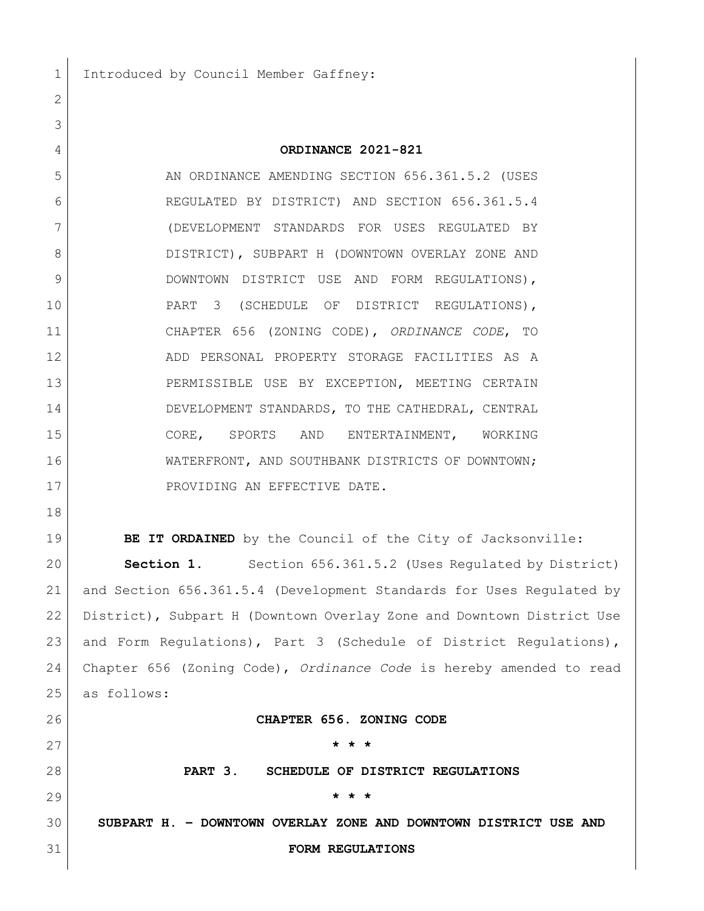Introduced by Council Member Gaffney:

## **ORDINANCE 2021-821**

5 AN ORDINANCE AMENDING SECTION 656.361.5.2 (USES REGULATED BY DISTRICT) AND SECTION 656.361.5.4 (DEVELOPMENT STANDARDS FOR USES REGULATED BY DISTRICT), SUBPART H (DOWNTOWN OVERLAY ZONE AND 9 DOWNTOWN DISTRICT USE AND FORM REGULATIONS), PART 3 (SCHEDULE OF DISTRICT REGULATIONS), CHAPTER 656 (ZONING CODE), *ORDINANCE CODE*, TO ADD PERSONAL PROPERTY STORAGE FACILITIES AS A PERMISSIBLE USE BY EXCEPTION, MEETING CERTAIN DEVELOPMENT STANDARDS, TO THE CATHEDRAL, CENTRAL CORE, SPORTS AND ENTERTAINMENT, WORKING WATERFRONT, AND SOUTHBANK DISTRICTS OF DOWNTOWN; 17 PROVIDING AN EFFECTIVE DATE.

**BE IT ORDAINED** by the Council of the City of Jacksonville: **Section 1.** Section 656.361.5.2 (Uses Regulated by District) and Section 656.361.5.4 (Development Standards for Uses Regulated by District), Subpart H (Downtown Overlay Zone and Downtown District Use 23 and Form Regulations), Part 3 (Schedule of District Regulations), Chapter 656 (Zoning Code), *Ordinance Code* is hereby amended to read as follows:

**CHAPTER 656. ZONING CODE**

 **\* \* \* PART 3. SCHEDULE OF DISTRICT REGULATIONS \* \* \* SUBPART H. – DOWNTOWN OVERLAY ZONE AND DOWNTOWN DISTRICT USE AND** 

## **FORM REGULATIONS**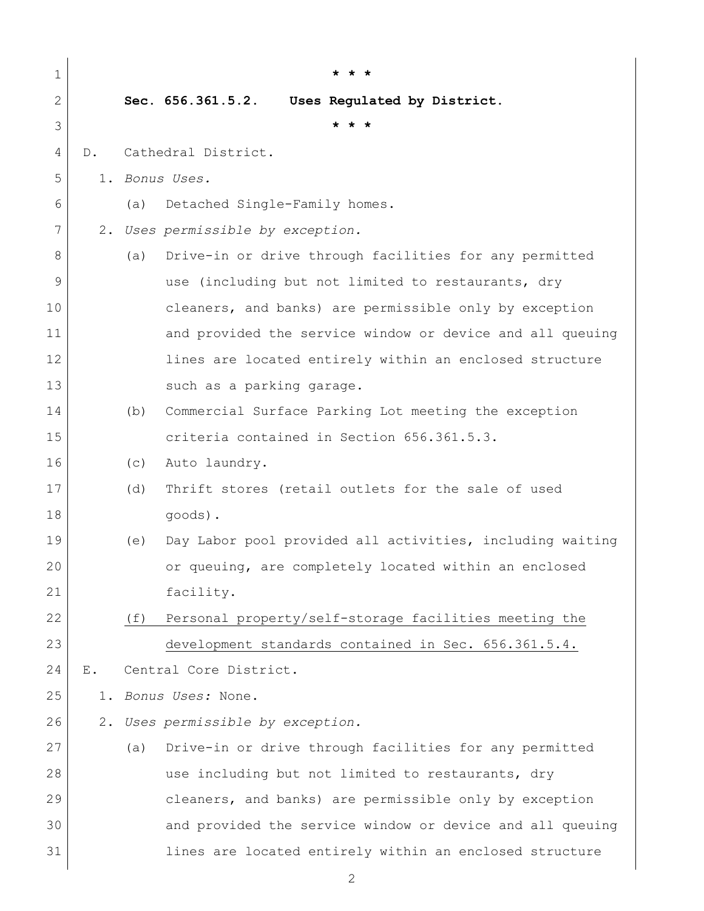| $\mathbf 1$  |       |     |                                                           |
|--------------|-------|-----|-----------------------------------------------------------|
| $\mathbf{2}$ |       |     | Sec. 656.361.5.2.<br>Uses Regulated by District.          |
| 3            |       |     | * * *                                                     |
| 4            | $D$ . |     | Cathedral District.                                       |
| 5            |       |     | 1. Bonus Uses.                                            |
| 6            |       | (a) | Detached Single-Family homes.                             |
| 7            | 2.    |     | Uses permissible by exception.                            |
| 8            |       | (a) | Drive-in or drive through facilities for any permitted    |
| 9            |       |     | use (including but not limited to restaurants, dry        |
| 10           |       |     | cleaners, and banks) are permissible only by exception    |
| 11           |       |     | and provided the service window or device and all queuing |
| 12           |       |     | lines are located entirely within an enclosed structure   |
| 13           |       |     | such as a parking garage.                                 |
| 14           |       | (b) | Commercial Surface Parking Lot meeting the exception      |
| 15           |       |     | criteria contained in Section 656.361.5.3.                |
| 16           |       | (c) | Auto laundry.                                             |
| 17           |       | (d) | Thrift stores (retail outlets for the sale of used        |
| 18           |       |     | goods).                                                   |
| 19           |       | (e) | Day Labor pool provided all activities, including waiting |
| 20           |       |     | or queuing, are completely located within an enclosed     |
| 21           |       |     | facility.                                                 |
| 22           |       | (f) | Personal property/self-storage facilities meeting the     |
| 23           |       |     | development standards contained in Sec. 656.361.5.4.      |
| 24           | $E$ . |     | Central Core District.                                    |
| 25           | 1.    |     | Bonus Uses: None.                                         |
| 26           |       |     | 2. Uses permissible by exception.                         |
| 27           |       | (a) | Drive-in or drive through facilities for any permitted    |
| 28           |       |     | use including but not limited to restaurants, dry         |
| 29           |       |     | cleaners, and banks) are permissible only by exception    |
| 30           |       |     | and provided the service window or device and all queuing |
| 31           |       |     | lines are located entirely within an enclosed structure   |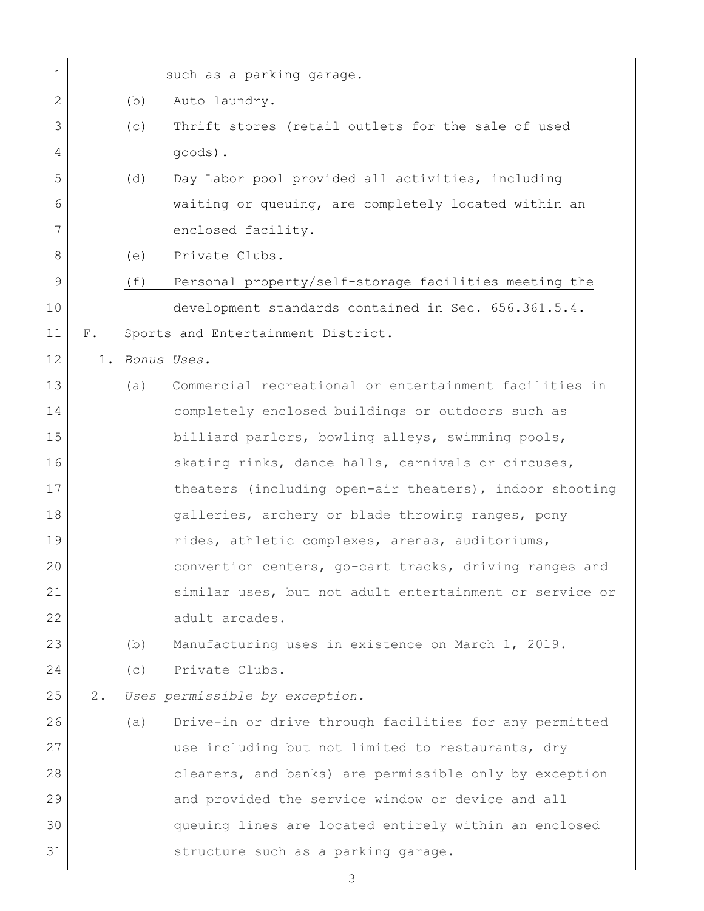| $\mathbf 1$  |       |     | such as a parking garage.                               |
|--------------|-------|-----|---------------------------------------------------------|
| $\mathbf{2}$ |       | (b) | Auto laundry.                                           |
| 3            |       | (c) | Thrift stores (retail outlets for the sale of used      |
| 4            |       |     | goods).                                                 |
| 5            |       | (d) | Day Labor pool provided all activities, including       |
| 6            |       |     | waiting or queuing, are completely located within an    |
| 7            |       |     | enclosed facility.                                      |
| 8            |       | (e) | Private Clubs.                                          |
| 9            |       | (f) | Personal property/self-storage facilities meeting the   |
| 10           |       |     | development standards contained in Sec. 656.361.5.4.    |
| 11           | $F$ . |     | Sports and Entertainment District.                      |
| 12           |       |     | 1. Bonus Uses.                                          |
| 13           |       | (a) | Commercial recreational or entertainment facilities in  |
| 14           |       |     | completely enclosed buildings or outdoors such as       |
| 15           |       |     | billiard parlors, bowling alleys, swimming pools,       |
| 16           |       |     | skating rinks, dance halls, carnivals or circuses,      |
| 17           |       |     | theaters (including open-air theaters), indoor shooting |
| 18           |       |     | galleries, archery or blade throwing ranges, pony       |
| 19           |       |     | rides, athletic complexes, arenas, auditoriums,         |
| 20           |       |     | convention centers, go-cart tracks, driving ranges and  |
| 21           |       |     | similar uses, but not adult entertainment or service or |
| 22           |       |     | adult arcades.                                          |
| 23           |       | (b) | Manufacturing uses in existence on March 1, 2019.       |
| 24           |       | (c) | Private Clubs.                                          |
| 25           | 2.    |     | Uses permissible by exception.                          |
| 26           |       | (a) | Drive-in or drive through facilities for any permitted  |
| 27           |       |     | use including but not limited to restaurants, dry       |
| 28           |       |     | cleaners, and banks) are permissible only by exception  |
| 29           |       |     | and provided the service window or device and all       |
| 30           |       |     | queuing lines are located entirely within an enclosed   |
| 31           |       |     | structure such as a parking garage.                     |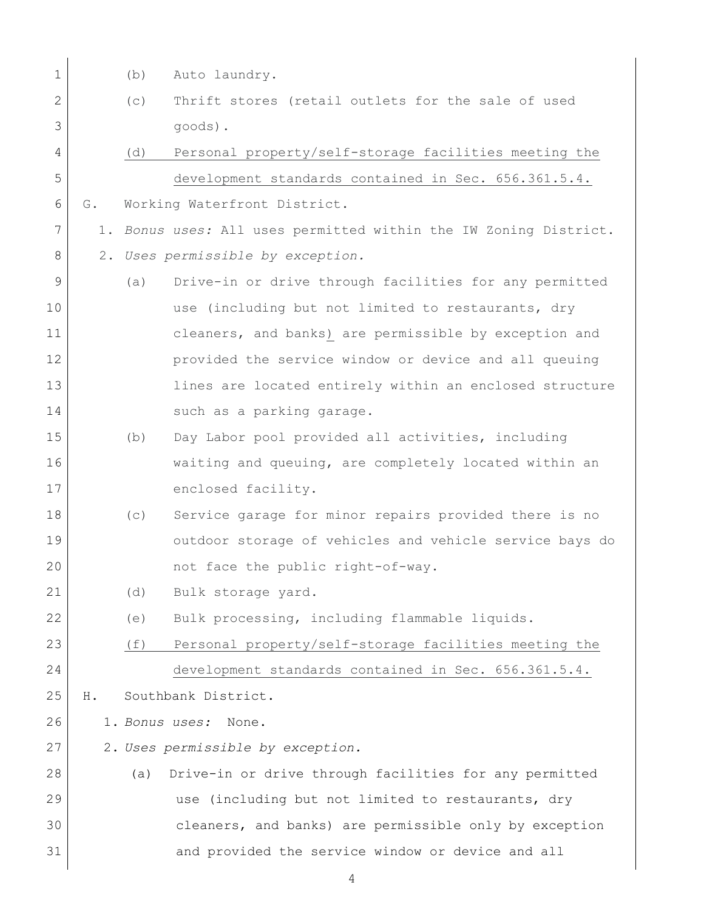| $\mathbf 1$    |    | (b) | Auto laundry.                                                    |
|----------------|----|-----|------------------------------------------------------------------|
| $\mathbf{2}$   |    | (c) | Thrift stores (retail outlets for the sale of used               |
| 3              |    |     | goods).                                                          |
| 4              |    | (d) | Personal property/self-storage facilities meeting the            |
| 5              |    |     | development standards contained in Sec. 656.361.5.4.             |
| 6              | G. |     | Working Waterfront District.                                     |
| $\overline{7}$ |    |     | 1. Bonus uses: All uses permitted within the IW Zoning District. |
| 8              |    |     | 2. Uses permissible by exception.                                |
| 9              |    | (a) | Drive-in or drive through facilities for any permitted           |
| 10             |    |     | use (including but not limited to restaurants, dry               |
| 11             |    |     | cleaners, and banks) are permissible by exception and            |
| 12             |    |     | provided the service window or device and all queuing            |
| 13             |    |     | lines are located entirely within an enclosed structure          |
| 14             |    |     | such as a parking garage.                                        |
| 15             |    | (b) | Day Labor pool provided all activities, including                |
| 16             |    |     | waiting and queuing, are completely located within an            |
| 17             |    |     | enclosed facility.                                               |
| 18             |    | (C) | Service garage for minor repairs provided there is no            |
| 19             |    |     | outdoor storage of vehicles and vehicle service bays do          |
| 20             |    |     | not face the public right-of-way.                                |
| 21             |    | (d) | Bulk storage yard.                                               |
| 22             |    | (e) | Bulk processing, including flammable liquids.                    |
| 23             |    | (f) | Personal property/self-storage facilities meeting the            |
| 24             |    |     | development standards contained in Sec. 656.361.5.4.             |
| 25             | Η. |     | Southbank District.                                              |
| 26             |    |     | 1. Bonus uses:<br>None.                                          |
| 27             |    |     | 2. Uses permissible by exception.                                |
| 28             |    | (a) | Drive-in or drive through facilities for any permitted           |
| 29             |    |     | use (including but not limited to restaurants, dry               |
| 30             |    |     | cleaners, and banks) are permissible only by exception           |
| 31             |    |     | and provided the service window or device and all                |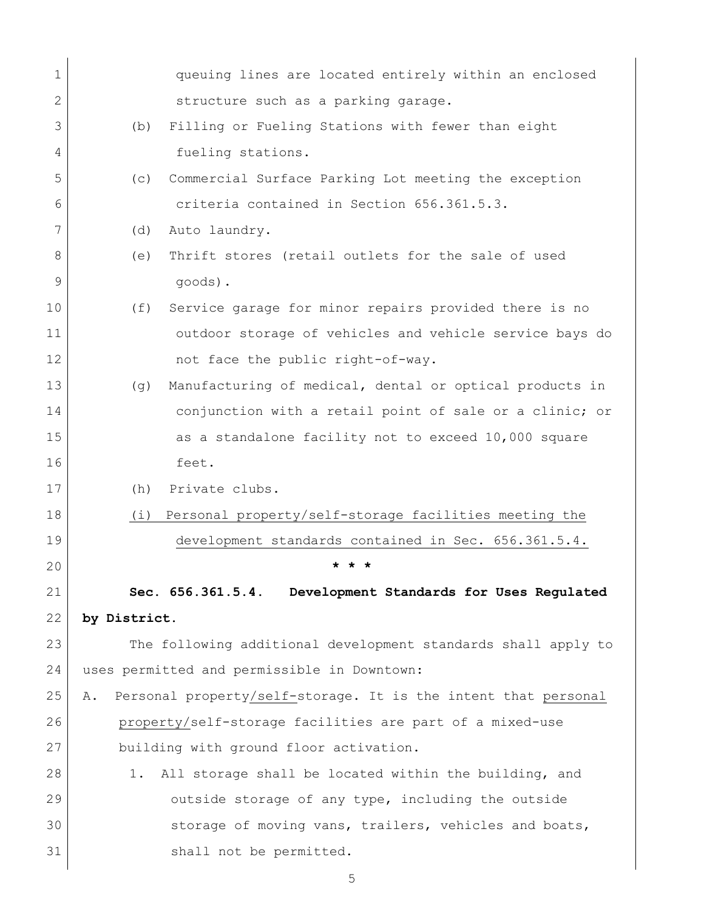| $\mathbf 1$ |                                             | queuing lines are located entirely within an enclosed          |  |  |
|-------------|---------------------------------------------|----------------------------------------------------------------|--|--|
| 2           |                                             | structure such as a parking garage.                            |  |  |
| 3           | (b)                                         | Filling or Fueling Stations with fewer than eight              |  |  |
| 4           |                                             | fueling stations.                                              |  |  |
| 5           | (C)                                         | Commercial Surface Parking Lot meeting the exception           |  |  |
| 6           |                                             | criteria contained in Section 656.361.5.3.                     |  |  |
| 7           | (d)                                         | Auto laundry.                                                  |  |  |
| 8           | (e)                                         | Thrift stores (retail outlets for the sale of used             |  |  |
| 9           |                                             | goods).                                                        |  |  |
| 10          | (f)                                         | Service garage for minor repairs provided there is no          |  |  |
| 11          |                                             | outdoor storage of vehicles and vehicle service bays do        |  |  |
| 12          |                                             | not face the public right-of-way.                              |  |  |
| 13          | (q)                                         | Manufacturing of medical, dental or optical products in        |  |  |
| 14          |                                             | conjunction with a retail point of sale or a clinic; or        |  |  |
| 15          |                                             | as a standalone facility not to exceed 10,000 square           |  |  |
| 16          |                                             | feet.                                                          |  |  |
| 17          | (h)                                         | Private clubs.                                                 |  |  |
| 18          |                                             | (i) Personal property/self-storage facilities meeting the      |  |  |
| 19          |                                             | development standards contained in Sec. 656.361.5.4.           |  |  |
| 20          |                                             | * *                                                            |  |  |
| 21          |                                             | Sec. 656.361.5.4. Development Standards for Uses Regulated     |  |  |
| 22          | by District.                                |                                                                |  |  |
| 23          |                                             | The following additional development standards shall apply to  |  |  |
| 24          | uses permitted and permissible in Downtown: |                                                                |  |  |
| 25          | Α.                                          | Personal property/self-storage. It is the intent that personal |  |  |
| 26          |                                             | property/self-storage facilities are part of a mixed-use       |  |  |
| 27          |                                             | building with ground floor activation.                         |  |  |
| 28          | 1.                                          | All storage shall be located within the building, and          |  |  |
| 29          |                                             | outside storage of any type, including the outside             |  |  |
| 30          |                                             | storage of moving vans, trailers, vehicles and boats,          |  |  |
| 31          |                                             | shall not be permitted.                                        |  |  |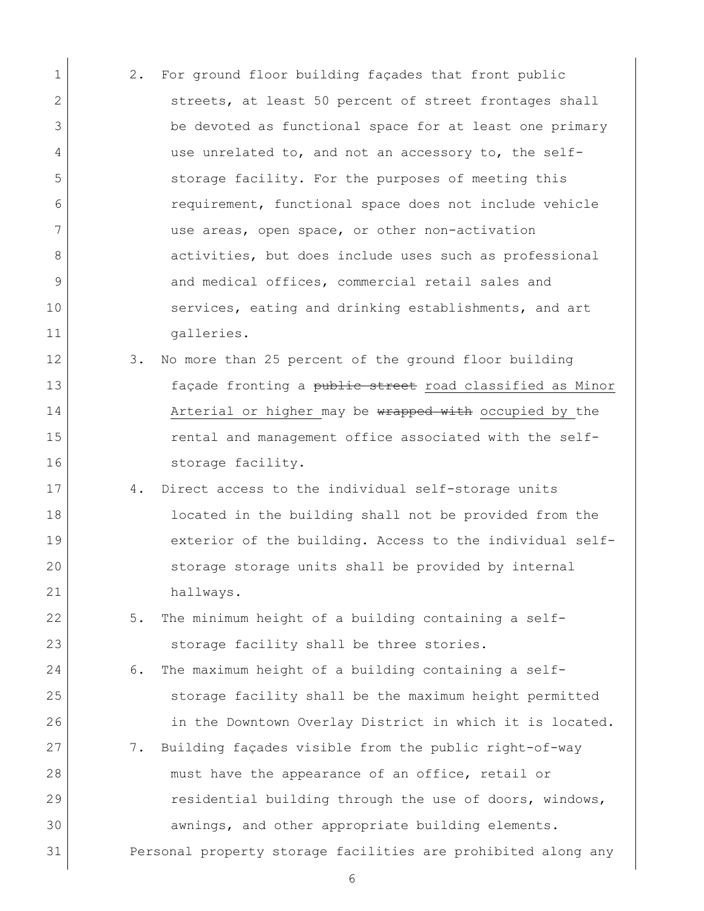- 1 2. For ground floor building façades that front public 2 streets, at least 50 percent of street frontages shall 3 be devoted as functional space for at least one primary 4 use unrelated to, and not an accessory to, the self-5 Storage facility. For the purposes of meeting this 6 requirement, functional space does not include vehicle 7 use areas, open space, or other non-activation 8 activities, but does include uses such as professional 9 and medical offices, commercial retail sales and 10 services, eating and drinking establishments, and art 11 galleries.
- 12 3. No more than 25 percent of the ground floor building 13 façade fronting a public street road classified as Minor 14 Arterial or higher may be wrapped with occupied by the 15 **rental and management office associated with the self-**16 Storage facility.
- 17 4. Direct access to the individual self-storage units 18 **located in the building shall not be provided from the** 19 exterior of the building. Access to the individual self-20 storage storage units shall be provided by internal 21 hallways.
- 22 5. The minimum height of a building containing a self-23 storage facility shall be three stories.
- 24 6. The maximum height of a building containing a self-25 storage facility shall be the maximum height permitted 26 in the Downtown Overlay District in which it is located. 27 7. Building façades visible from the public right-of-way 28 must have the appearance of an office, retail or 29 residential building through the use of doors, windows, 30 awnings, and other appropriate building elements. 31 Personal property storage facilities are prohibited along any